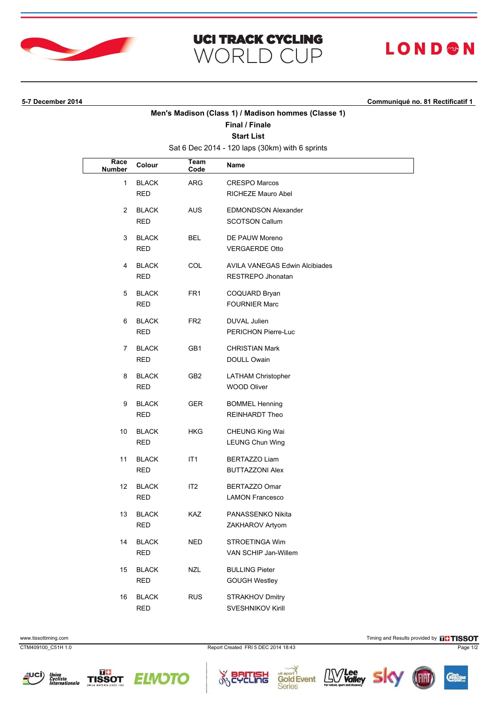

### **UCI TRACK CYCLING WORLD CUP**

# **LOND®N**

**5-7 December 2014 Communiqué no. 81 Rectificatif 1**

### **Men's Madison (Class 1) / Madison hommes (Classe 1)**

#### **Final / Finale Start List**

Sat 6 Dec 2014 - 120 laps (30km) with 6 sprints

| Race<br><b>Number</b> | Colour                     | <b>Team</b><br>Code | Name                                                       |
|-----------------------|----------------------------|---------------------|------------------------------------------------------------|
| $\mathbf{1}$          | <b>BLACK</b><br>RED        | ARG                 | <b>CRESPO Marcos</b><br>RICHEZE Mauro Abel                 |
| $\overline{2}$        | <b>BLACK</b><br>RED        | <b>AUS</b>          | <b>EDMONDSON Alexander</b><br><b>SCOTSON Callum</b>        |
| 3                     | <b>BLACK</b><br>RED        | <b>BEL</b>          | DE PAUW Moreno<br><b>VERGAERDE Otto</b>                    |
| 4                     | <b>BLACK</b><br>RED        | COL                 | <b>AVILA VANEGAS Edwin Alcibiades</b><br>RESTREPO Jhonatan |
| 5                     | <b>BLACK</b><br>RED        | FR <sub>1</sub>     | COQUARD Bryan<br><b>FOURNIER Marc</b>                      |
| 6                     | <b>BLACK</b><br>RED        | FR <sub>2</sub>     | DUVAL Julien<br>PERICHON Pierre-Luc                        |
| 7                     | <b>BLACK</b><br>RED        | GB1                 | <b>CHRISTIAN Mark</b><br>DOULL Owain                       |
| 8                     | <b>BLACK</b><br>RED        | GB2                 | <b>LATHAM Christopher</b><br><b>WOOD Oliver</b>            |
| 9                     | <b>BLACK</b><br>RED        | GER.                | <b>BOMMEL Henning</b><br>REINHARDT Theo                    |
| 10                    | <b>BLACK</b><br>RED        | HKG                 | <b>CHEUNG King Wai</b><br><b>LEUNG Chun Wing</b>           |
| 11                    | <b>BLACK</b><br>RED        | IT1                 | BERTAZZO Liam<br><b>BUTTAZZONI Alex</b>                    |
| 12                    | <b>BLACK</b><br><b>RED</b> | IT <sub>2</sub>     | BERTAZZO Omar<br><b>LAMON Francesco</b>                    |
| 13                    | <b>BLACK</b><br>RED        | KAZ                 | PANASSENKO Nikita<br>ZAKHAROV Artyom                       |
| 14                    | <b>BLACK</b><br><b>RED</b> | <b>NED</b>          | STROETINGA Wim<br>VAN SCHIP Jan-Willem                     |
| 15                    | <b>BLACK</b><br><b>RED</b> | <b>NZL</b>          | <b>BULLING Pieter</b><br><b>GOUGH Westley</b>              |
| 16                    | <b>BLACK</b><br><b>RED</b> | <b>RUS</b>          | STRAKHOV Dmitry<br>SVESHNIKOV Kirill                       |

www.tissottiming.com **Timing and Results provided by FITISSOT** 

CTM409100\_C51H 1.0 Report Created FRI 5 DEC 2014 18:43 Page 1/2